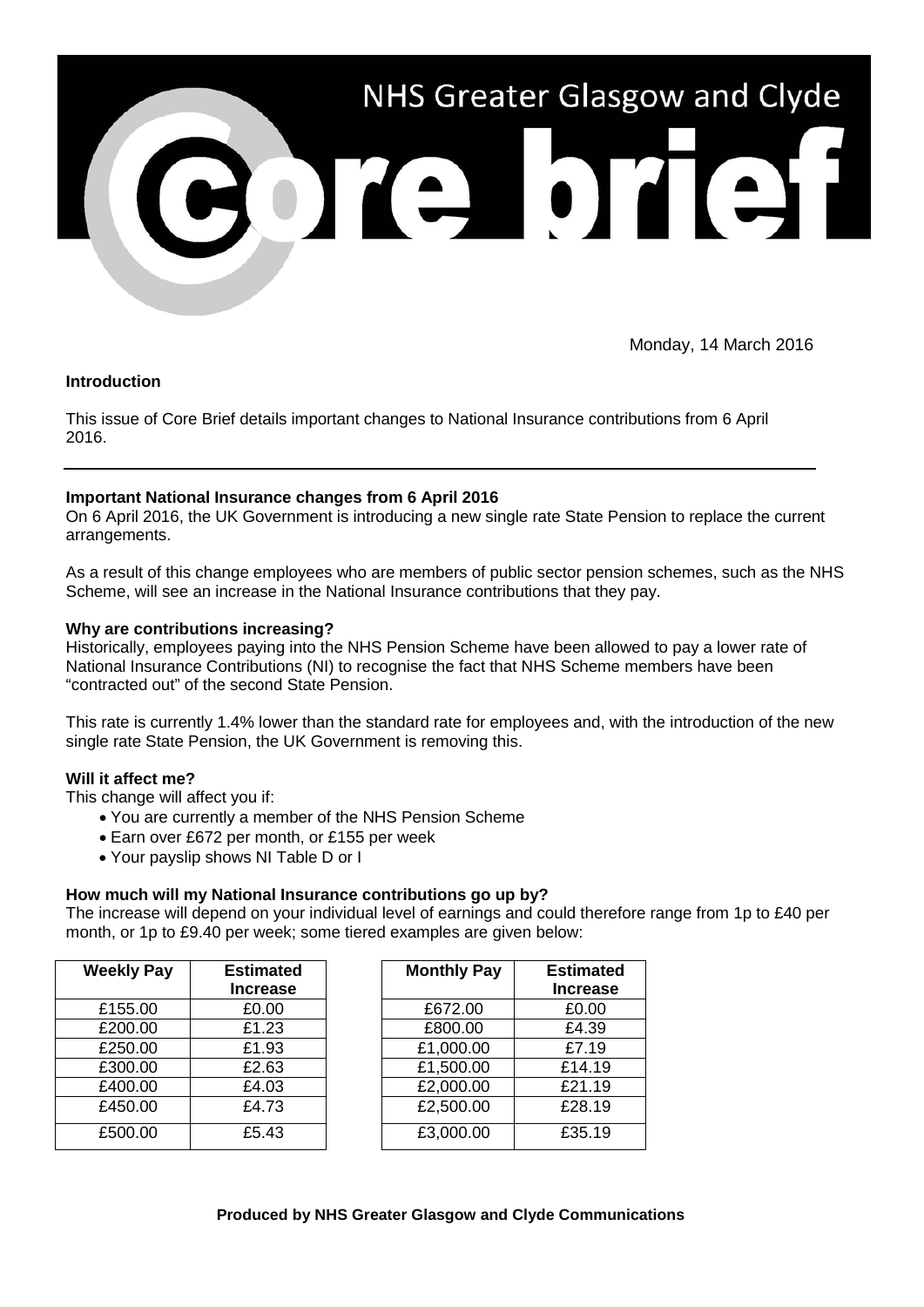

Monday, 14 March 2016

### **Introduction**

This issue of Core Brief details important changes to National Insurance contributions from 6 April 2016.

## **Important National Insurance changes from 6 April 2016**

On 6 April 2016, the UK Government is introducing a new single rate State Pension to replace the current arrangements.

As a result of this change employees who are members of public sector pension schemes, such as the NHS Scheme, will see an increase in the National Insurance contributions that they pay.

### **Why are contributions increasing?**

Historically, employees paying into the NHS Pension Scheme have been allowed to pay a lower rate of National Insurance Contributions (NI) to recognise the fact that NHS Scheme members have been "contracted out" of the second State Pension.

This rate is currently 1.4% lower than the standard rate for employees and, with the introduction of the new single rate State Pension, the UK Government is removing this.

### **Will it affect me?**

This change will affect you if:

- You are currently a member of the NHS Pension Scheme
- Earn over £672 per month, or £155 per week
- Your payslip shows NI Table D or I

### **How much will my National Insurance contributions go up by?**

The increase will depend on your individual level of earnings and could therefore range from 1p to £40 per month, or 1p to £9.40 per week; some tiered examples are given below:

| <b>Weekly Pay</b> | <b>Estimated</b> | <b>Monthly Pay</b> | <b>Estimated</b> |
|-------------------|------------------|--------------------|------------------|
|                   | <b>Increase</b>  |                    | <b>Increase</b>  |
| £155.00           | £0.00            | £672.00            | £0.00            |
| £200.00           | £1.23            | £800.00            | £4.39            |
| £250.00           | £1.93            | £1,000.00          | £7.19            |
| £300.00           | £2.63            | £1,500.00          | £14.19           |
| £400.00           | £4.03            | £2,000.00          | £21.19           |
| £450.00           | £4.73            | £2,500.00          | £28.19           |
| £500.00           | £5.43            | £3,000.00          | £35.19           |